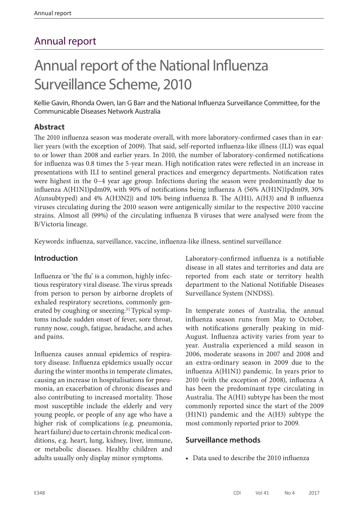# Annual report

# Annual report of the National Influenza Surveillance Scheme, 2010

Kellie Gavin, Rhonda Owen, Ian G Barr and the National Influenza Surveillance Committee, for the Communicable Diseases Network Australia

# **Abstract**

The 2010 influenza season was moderate overall, with more laboratory-confirmed cases than in earlier years (with the exception of 2009). That said, self-reported influenza-like illness (ILI) was equal to or lower than 2008 and earlier years. In 2010, the number of laboratory-confirmed notifications for influenza was 0.8 times the 5-year mean. High notification rates were reflected in an increase in presentations with ILI to sentinel general practices and emergency departments. Notification rates were highest in the 0–4 year age group. Infections during the season were predominantly due to influenza A(H1N1)pdm09, with 90% of notifications being influenza A (56% A(H1N)1pdm09, 30% A(unsubtyped) and 4% A(H3N2)) and 10% being influenza B. The A(H1), A(H3) and B influenza viruses circulating during the 2010 season were antigenically similar to the respective 2010 vaccine strains. Almost all (99%) of the circulating influenza B viruses that were analysed were from the B/Victoria lineage.

Keywords: influenza, surveillance, vaccine, influenza-like illness, sentinel surveillance

# **Introduction**

Influenza or 'the flu' is a common, highly infectious respiratory viral disease. The virus spreads from person to person by airborne droplets of exhaled respiratory secretions, commonly generated by coughing or sneezing.<sup>[1]</sup> Typical symptoms include sudden onset of fever, sore throat, runny nose, cough, fatigue, headache, and aches and pains.

Influenza causes annual epidemics of respiratory disease. Influenza epidemics usually occur during the winter months in temperate climates, causing an increase in hospitalisations for pneumonia, an exacerbation of chronic diseases and also contributing to increased mortality. Those most susceptible include the elderly and very young people, or people of any age who have a higher risk of complications (e.g. pneumonia, heart failure) due to certain chronic medical conditions, e.g. heart, lung, kidney, liver, immune, or metabolic diseases. Healthy children and adults usually only display minor symptoms.

Laboratory-confirmed influenza is a notifiable disease in all states and territories and data are reported from each state or territory health department to the National Notifiable Diseases Surveillance System (NNDSS).

In temperate zones of Australia, the annual influenza season runs from May to October, with notifications generally peaking in mid-August. Influenza activity varies from year to year. Australia experienced a mild season in 2006, moderate seasons in 2007 and 2008 and an extra-ordinary season in 2009 due to the influenza A(H1N1) pandemic. In years prior to 2010 (with the exception of 2008), influenza A has been the predominant type circulating in Australia. The A(H1) subtype has been the most commonly reported since the start of the 2009 (H1N1) pandemic and the A(H3) subtype the most commonly reported prior to 2009.

# **Surveillance methods**

• Data used to describe the 2010 influenza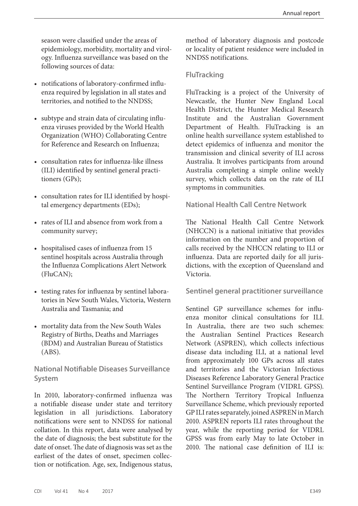season were classified under the areas of epidemiology, morbidity, mortality and virology. Influenza surveillance was based on the following sources of data:

- notifications of laboratory-confirmed influenza required by legislation in all states and territories, and notified to the NNDSS;
- subtype and strain data of circulating influenza viruses provided by the World Health Organization (WHO) Collaborating Centre for Reference and Research on Influenza;
- consultation rates for influenza-like illness (ILI) identified by sentinel general practitioners (GPs);
- consultation rates for ILI identified by hospital emergency departments (EDs);
- rates of ILI and absence from work from a community survey;
- hospitalised cases of influenza from 15 sentinel hospitals across Australia through the Influenza Complications Alert Network (FluCAN);
- testing rates for influenza by sentinel laboratories in New South Wales, Victoria, Western Australia and Tasmania; and
- mortality data from the New South Wales Registry of Births, Deaths and Marriages (BDM) and Australian Bureau of Statistics (ABS).

**National Notifiable Diseases Surveillance System**

In 2010, laboratory-confirmed influenza was a notifiable disease under state and territory legislation in all jurisdictions. Laboratory notifications were sent to NNDSS for national collation. In this report, data were analysed by the date of diagnosis; the best substitute for the date of onset. The date of diagnosis was set as the earliest of the dates of onset, specimen collection or notification. Age, sex, Indigenous status,

method of laboratory diagnosis and postcode or locality of patient residence were included in NNDSS notifications.

# **FluTracking**

FluTracking is a project of the University of Newcastle, the Hunter New England Local Health District, the Hunter Medical Research Institute and the Australian Government Department of Health. FluTracking is an online health surveillance system established to detect epidemics of influenza and monitor the transmission and clinical severity of ILI across Australia. It involves participants from around Australia completing a simple online weekly survey, which collects data on the rate of ILI symptoms in communities.

# **National Health Call Centre Network**

The National Health Call Centre Network (NHCCN) is a national initiative that provides information on the number and proportion of calls received by the NHCCN relating to ILI or influenza. Data are reported daily for all jurisdictions, with the exception of Queensland and Victoria.

# **Sentinel general practitioner surveillance**

Sentinel GP surveillance schemes for influenza monitor clinical consultations for ILI. In Australia, there are two such schemes: the Australian Sentinel Practices Research Network (ASPREN), which collects infectious disease data including ILI, at a national level from approximately 100 GPs across all states and territories and the Victorian Infectious Diseases Reference Laboratory General Practice Sentinel Surveillance Program (VIDRL GPSS). The Northern Territory Tropical Influenza Surveillance Scheme, which previously reported GP ILI rates separately, joined ASPREN in March 2010. ASPREN reports ILI rates throughout the year, while the reporting period for VIDRL GPSS was from early May to late October in 2010. The national case definition of ILI is: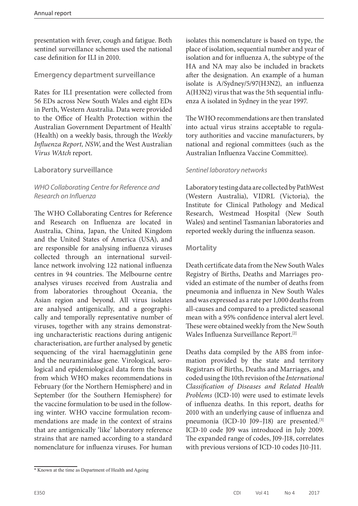presentation with fever, cough and fatigue. Both sentinel surveillance schemes used the national case definition for ILI in 2010.

# **Emergency department surveillance**

Rates for ILI presentation were collected from 56 EDs across New South Wales and eight EDs in Perth, Western Australia. Data were provided to the Office of Health Protection within the Australian Government Department of Health\* (Health) on a weekly basis, through the *Weekly Influenza Report, NSW*, and the West Australian *Virus WAtch* report.

# **Laboratory surveillance**

# *WHO Collaborating Centre for Reference and Research on Influenza*

The WHO Collaborating Centres for Reference and Research on Influenza are located in Australia, China, Japan, the United Kingdom and the United States of America (USA), and are responsible for analysing influenza viruses collected through an international surveillance network involving 122 national influenza centres in 94 countries. The Melbourne centre analyses viruses received from Australia and from laboratories throughout Oceania, the Asian region and beyond. All virus isolates are analysed antigenically, and a geographically and temporally representative number of viruses, together with any strains demonstrating uncharacteristic reactions during antigenic characterisation, are further analysed by genetic sequencing of the viral haemagglutinin gene and the neuraminidase gene. Virological, serological and epidemiological data form the basis from which WHO makes recommendations in February (for the Northern Hemisphere) and in September (for the Southern Hemisphere) for the vaccine formulation to be used in the following winter. WHO vaccine formulation recommendations are made in the context of strains that are antigenically 'like' laboratory reference strains that are named according to a standard nomenclature for influenza viruses. For human

isolates this nomenclature is based on type, the place of isolation, sequential number and year of isolation and for influenza A, the subtype of the HA and NA may also be included in brackets after the designation. An example of a human isolate is A/Sydney/5/97(H3N2), an influenza A(H3N2) virus that was the 5th sequential influenza A isolated in Sydney in the year 1997.

The WHO recommendations are then translated into actual virus strains acceptable to regulatory authorities and vaccine manufacturers, by national and regional committees (such as the Australian Influenza Vaccine Committee).

# *Sentinel laboratory networks*

Laboratory testing data are collected by PathWest (Western Australia), VIDRL (Victoria), the Institute for Clinical Pathology and Medical Research, Westmead Hospital (New South Wales) and sentinel Tasmanian laboratories and reported weekly during the influenza season.

# **Mortality**

Death certificate data from the New South Wales Registry of Births, Deaths and Marriages provided an estimate of the number of deaths from pneumonia and influenza in New South Wales and was expressed as a rate per 1,000 deaths from all-causes and compared to a predicted seasonal mean with a 95% confidence interval alert level. These were obtained weekly from the New South Wales Influenza Surveillance Report.[2]

Deaths data compiled by the ABS from information provided by the state and territory Registrars of Births, Deaths and Marriages, and coded using the 10th revision of the *International Classification of Diseases and Related Health Problems* (ICD-10) were used to estimate levels of influenza deaths. In this report, deaths for 2010 with an underlying cause of influenza and pneumonia (ICD-10 J09-J18) are presented.<sup>[3]</sup> ICD-10 code J09 was introduced in July 2009. The expanded range of codes, J09-J18, correlates with previous versions of ICD-10 codes J10-J11.

<sup>\*</sup> Known at the time as Department of Health and Ageing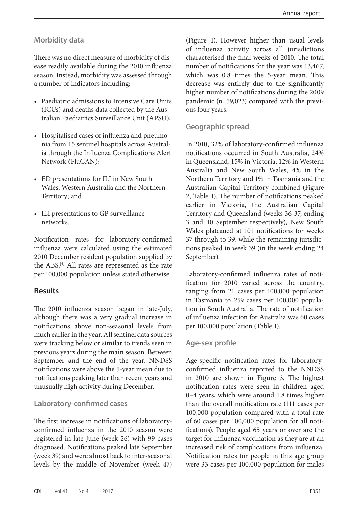#### **Morbidity data**

There was no direct measure of morbidity of disease readily available during the 2010 influenza season. Instead, morbidity was assessed through a number of indicators including:

- Paediatric admissions to Intensive Care Units (ICUs) and deaths data collected by the Australian Paediatrics Surveillance Unit (APSU);
- Hospitalised cases of influenza and pneumonia from 15 sentinel hospitals across Australia through the Influenza Complications Alert Network (FluCAN);
- ED presentations for ILI in New South Wales, Western Australia and the Northern Territory; and
- ILI presentations to GP surveillance networks.

Notification rates for laboratory-confirmed influenza were calculated using the estimated 2010 December resident population supplied by the ABS.[4] All rates are represented as the rate per 100,000 population unless stated otherwise.

#### **Results**

The 2010 influenza season began in late-July, although there was a very gradual increase in notifications above non-seasonal levels from much earlier in the year. All sentinel data sources were tracking below or similar to trends seen in previous years during the main season. Between September and the end of the year, NNDSS notifications were above the 5-year mean due to notifications peaking later than recent years and unusually high activity during December.

#### **Laboratory-confirmed cases**

The first increase in notifications of laboratoryconfirmed influenza in the 2010 season were registered in late June (week 26) with 99 cases diagnosed. Notifications peaked late September (week 39) and were almost back to inter-seasonal levels by the middle of November (week 47)

(Figure 1). However higher than usual levels of influenza activity across all jurisdictions characterised the final weeks of 2010. The total number of notifications for the year was 13,467, which was 0.8 times the 5-year mean. This decrease was entirely due to the significantly higher number of notifications during the 2009 pandemic (n=59,023) compared with the previous four years.

#### **Geographic spread**

In 2010, 32% of laboratory-confirmed influenza notifications occurred in South Australia, 24% in Queensland, 15% in Victoria, 12% in Western Australia and New South Wales, 4% in the Northern Territory and 1% in Tasmania and the Australian Capital Territory combined (Figure 2, Table 1). The number of notifications peaked earlier in Victoria, the Australian Capital Territory and Queensland (weeks 36-37, ending 3 and 10 September respectively), New South Wales plateaued at 101 notifications for weeks 37 through to 39, while the remaining jurisdictions peaked in week 39 (in the week ending 24 September).

Laboratory-confirmed influenza rates of notification for 2010 varied across the country, ranging from 21 cases per 100,000 population in Tasmania to 259 cases per 100,000 population in South Australia. The rate of notification of influenza infection for Australia was 60 cases per 100,000 population (Table 1).

#### **Age-sex profile**

Age-specific notification rates for laboratoryconfirmed influenza reported to the NNDSS in 2010 are shown in Figure 3. The highest notification rates were seen in children aged 0–4 years, which were around 1.8 times higher than the overall notification rate (111 cases per 100,000 population compared with a total rate of 60 cases per 100,000 population for all notifications). People aged 65 years or over are the target for influenza vaccination as they are at an increased risk of complications from influenza. Notification rates for people in this age group were 35 cases per 100,000 population for males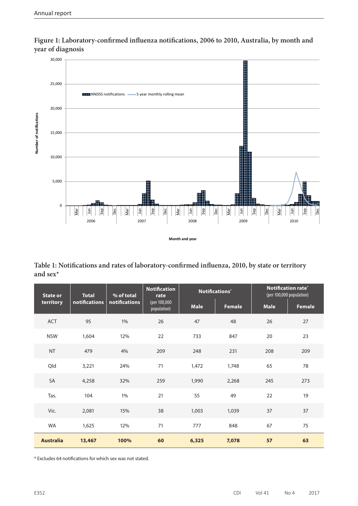

**Figure 1: Laboratory-confirmed influenza notifications, 2006 to 2010, Australia, by month and year of diagnosis**

**Table 1: Notifications and rates of laboratory-confirmed influenza, 2010, by state or territory and sex\***

| <b>State or</b><br>territory | <b>Total</b><br>notifications | % of total<br>notifications | <b>Notification</b><br>rate<br>(per 100,000<br>population) |             | Notifications* | <b>Notification rate*</b><br>(per 100,000 population) |        |
|------------------------------|-------------------------------|-----------------------------|------------------------------------------------------------|-------------|----------------|-------------------------------------------------------|--------|
|                              |                               |                             |                                                            | <b>Male</b> | <b>Female</b>  | <b>Male</b>                                           | Female |
| <b>ACT</b>                   | 95                            | $1\%$                       | 26                                                         | 47          | 48             | 26                                                    | 27     |
| <b>NSW</b>                   | 1,604                         | 12%                         | 22                                                         | 733         | 847            | 20                                                    | 23     |
| NT                           | 479                           | 4%                          | 209                                                        | 248         | 231            | 208                                                   | 209    |
| Qld                          | 3,221                         | 24%                         | 71                                                         | 1,472       | 1,748          | 65                                                    | 78     |
| SA                           | 4,258                         | 32%                         | 259                                                        | 1,990       | 2,268          | 245                                                   | 273    |
| Tas.                         | 104                           | $1\%$                       | 21                                                         | 55          | 49             | 22                                                    | 19     |
| Vic.                         | 2,081                         | 15%                         | 38                                                         | 1,003       | 1,039          | 37                                                    | 37     |
| <b>WA</b>                    | 1,625                         | 12%                         | 71                                                         | 777         | 848            | 67                                                    | 75     |
| <b>Australia</b>             | 13,467                        | 100%                        | 60                                                         | 6,325       | 7,078          | 57                                                    | 63     |

\* Excludes 64 notifications for which sex was not stated.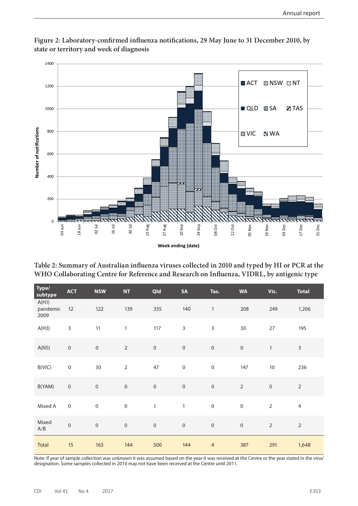

**Figure 2: Laboratory-confirmed influenza notifications, 29 May June to 31 December 2010, by state or territory and week of diagnosis**

**Table 2: Summary of Australian influenza viruses collected in 2010 and typed by HI or PCR at the WHO Collaborating Centre for Reference and Research on Influenza, VIDRL, by antigenic type**

| Type/<br>subtype          | <b>ACT</b>          | <b>NSW</b>       | NT           | Qld          | SA               | Tas.           | <b>WA</b>        | Vic.           | <b>Total</b>   |
|---------------------------|---------------------|------------------|--------------|--------------|------------------|----------------|------------------|----------------|----------------|
| A(H1)<br>pandemic<br>2009 | 12                  | 122              | 139          | 335          | 140              | $\mathbf{1}$   | 208              | 249            | 1,206          |
| A(H3)                     | $\mathsf{3}$        | 11               | $\mathbf{1}$ | 117          | $\mathsf{3}$     | $\mathsf{3}$   | 30               | $27$           | 195            |
| A(NS)                     | $\mathbf 0$         | $\boldsymbol{0}$ | $\sqrt{2}$   | $\mathbf 0$  | $\boldsymbol{0}$ | $\mathbf 0$    | $\mathbf 0$      | $\mathbf{1}$   | $\mathsf{3}$   |
| B(VIC)                    | $\mathbf 0$         | 30               | $\mathbf 2$  | 47           | $\mbox{O}$       | $\mathbf 0$    | 147              | $10\,$         | 236            |
| B(YAM)                    | $\mathbf 0$         | $\mbox{O}$       | $\mbox{O}$   | $\mathbf 0$  | $\mathbf 0$      | $\,0\,$        | $\mathbf 2$      | $\mathbf 0$    | $\sqrt{2}$     |
| Mixed A                   | $\mathsf{O}\xspace$ | $\mathbf 0$      | $\mathbf 0$  | $\mathbf{1}$ | $\mathbbm{1}$    | $\mathbf 0$    | $\boldsymbol{0}$ | $\overline{2}$ | $\overline{4}$ |
| Mixed<br>A/B              | $\mathbf 0$         | $\mbox{O}$       | $\mbox{O}$   | $\mathbf 0$  | $\mathbf 0$      | $\mathbf 0$    | $\mbox{O}$       | $\sqrt{2}$     | $\mathbf 2$    |
| Total                     | 15                  | 163              | 144          | 500          | 144              | $\overline{4}$ | 387              | 291            | 1,648          |

Note: If year of sample collection was unknown it was assumed based on the year it was received at the Centre or the year stated in the virus' designation. Some samples collected in 2010 may not have been received at the Centre until 2011.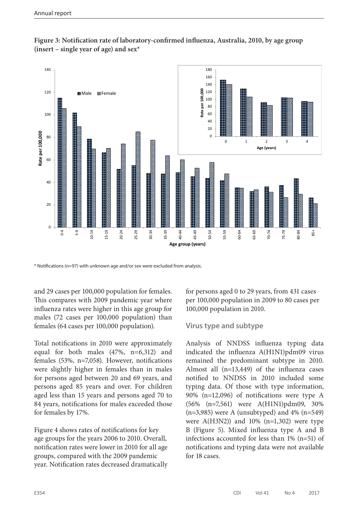



\* Notifications (n=97) with unknown age and/or sex were excluded from analysis.

and 29 cases per 100,000 population for females. This compares with 2009 pandemic year where influenza rates were higher in this age group for males (72 cases per 100,000 population) than females (64 cases per 100,000 population).

Total notifications in 2010 were approximately equal for both males (47%, n=6,312) and females (53%, n=7,058). However, notifications were slightly higher in females than in males for persons aged between 20 and 69 years, and persons aged 85 years and over. For children aged less than 15 years and persons aged 70 to 84 years, notifications for males exceeded those for females by 17%.

Figure 4 shows rates of notifications for key age groups for the years 2006 to 2010. Overall, notification rates were lower in 2010 for all age groups, compared with the 2009 pandemic year. Notification rates decreased dramatically for persons aged 0 to 29 years, from 431 cases per 100,000 population in 2009 to 80 cases per 100,000 population in 2010.

#### **Virus type and subtype**

Analysis of NNDSS influenza typing data indicated the influenza A(H1N1)pdm09 virus remained the predominant subtype in 2010. Almost all (n=13,449) of the influenza cases notified to NNDSS in 2010 included some typing data. Of those with type information, 90% (n=12,096) of notifications were type A (56% (n=7,561) were A(H1N1)pdm09, 30%  $(n=3,985)$  were A (unsubtyped) and 4%  $(n=549)$ were  $A(H3N2)$  and 10% (n=1,302) were type B (Figure 5). Mixed influenza type A and B infections accounted for less than 1% (n=51) of notifications and typing data were not available for 18 cases.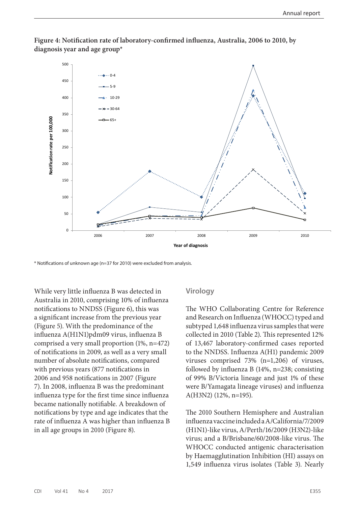

**Figure 4: Notification rate of laboratory-confirmed influenza, Australia, 2006 to 2010, by diagnosis year and age group\***

\* Notifications of unknown age (n=37 for 2010) were excluded from analysis.

While very little influenza B was detected in Australia in 2010, comprising 10% of influenza notifications to NNDSS (Figure 6), this was a significant increase from the previous year (Figure 5). With the predominance of the influenza A(H1N1)pdm09 virus, influenza B comprised a very small proportion (1%, n=472) of notifications in 2009, as well as a very small number of absolute notifications, compared with previous years (877 notifications in 2006 and 958 notifications in 2007 (Figure 7). In 2008, influenza B was the predominant influenza type for the first time since influenza became nationally notifiable. A breakdown of notifications by type and age indicates that the rate of influenza A was higher than influenza B in all age groups in 2010 (Figure 8).

#### **Virology**

The WHO Collaborating Centre for Reference and Research on Influenza (WHOCC) typed and subtyped 1,648 influenza virus samples that were collected in 2010 (Table 2). This represented 12% of 13,467 laboratory-confirmed cases reported to the NNDSS. Influenza A(H1) pandemic 2009 viruses comprised 73% (n=1,206) of viruses, followed by influenza B (14%, n=238; consisting of 99% B/Victoria lineage and just 1% of these were B/Yamagata lineage viruses) and influenza A(H3N2) (12%, n=195).

The 2010 Southern Hemisphere and Australian influenza vaccine included a A/California/7/2009 (H1N1)-like virus, A/Perth/16/2009 (H3N2)-like virus; and a B/Brisbane/60/2008-like virus. The WHOCC conducted antigenic characterisation by Haemagglutination Inhibition (HI) assays on 1,549 influenza virus isolates (Table 3). Nearly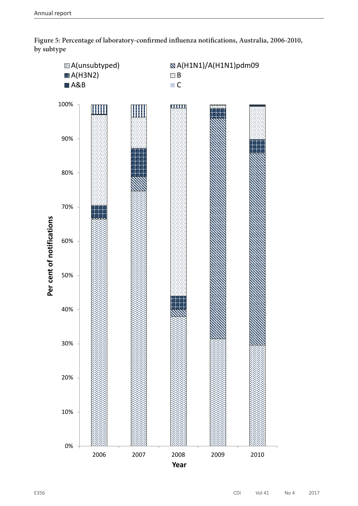

**Figure 5: Percentage of laboratory-confirmed influenza notifications, Australia, 2006-2010, by subtype**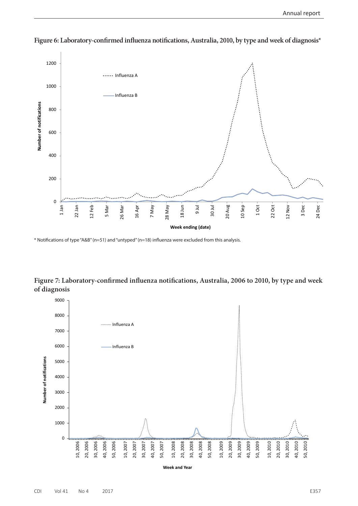

**Figure 6: Laboratory-confirmed influenza notifications, Australia, 2010, by type and week of diagnosis\***

\* Notifications of type "A&B" (n=51) and "untyped" (n=18) influenza were excluded from this analysis.

**Figure 7: Laboratory-confirmed influenza notifications, Australia, 2006 to 2010, by type and week of diagnosis**

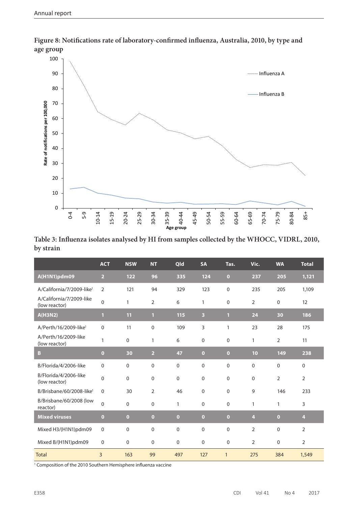

**Figure 8: Notifications rate of laboratory-confirmed influenza, Australia, 2010, by type and age group**

| Table 3: Influenza isolates analysed by HI from samples collected by the WHOCC, VIDRL, 2010, |  |
|----------------------------------------------------------------------------------------------|--|
| by strain                                                                                    |  |

|                                           | <b>ACT</b>     | <b>NSW</b>   | <b>NT</b>      | Qld         | <b>SA</b>               | Tas.           | Vic.           | <b>WA</b>      | <b>Total</b>   |
|-------------------------------------------|----------------|--------------|----------------|-------------|-------------------------|----------------|----------------|----------------|----------------|
| A(H1N1)pdm09                              | $\overline{2}$ | 122          | 96             | 335         | 124                     | $\bullet$      | 237            | 205            | 1,121          |
| A/California/7/2009-like <sup>1</sup>     | $\overline{2}$ | 121          | 94             | 329         | 123                     | $\mathbf 0$    | 235            | 205            | 1,109          |
| A/California/7/2009-like<br>(low reactor) | $\mathbf 0$    | $\mathbf{1}$ | 2              | 6           | 1                       | 0              | 2              | $\mathbf 0$    | 12             |
| A(H3N2)                                   | $\mathbf{1}$   | 11           | $\mathbf{1}$   | 115         | $\overline{\mathbf{3}}$ | $\blacksquare$ | 24             | 30             | 186            |
| A/Perth/16/2009-like <sup>1</sup>         | $\mathbf 0$    | 11           | $\mathbf 0$    | 109         | 3                       | 1              | 23             | 28             | 175            |
| A/Perth/16/2009-like<br>(low reactor)     | 1              | 0            | 1              | 6           | $\mathbf 0$             | $\mathbf 0$    | 1              | 2              | 11             |
| B                                         | $\overline{0}$ | 30           | $\overline{2}$ | 47          | $\overline{0}$          | $\overline{0}$ | 10             | 149            | 238            |
| B/Florida/4/2006-like                     | $\mathbf 0$    | 0            | $\mathbf 0$    | $\mathbf 0$ | $\mathbf 0$             | 0              | $\mathbf 0$    | $\mathbf 0$    | $\mathbf 0$    |
| B/Florida/4/2006-like<br>(low reactor)    | $\overline{0}$ | 0            | $\mathbf{0}$   | $\mathbf 0$ | $\mathbf 0$             | $\mathbf 0$    | $\mathbf 0$    | $\overline{2}$ | $\overline{2}$ |
| B/Brisbane/60/2008-like <sup>1</sup>      | $\Omega$       | 30           | $\overline{2}$ | 46          | $\Omega$                | $\mathbf{0}$   | 9              | 146            | 233            |
| B/Brisbane/60/2008 (low<br>reactor)       | $\Omega$       | 0            | $\mathbf 0$    | 1           | $\mathbf 0$             | 0              | 1              | 1              | 3              |
| <b>Mixed viruses</b>                      | $\overline{0}$ | $\bullet$    | $\overline{0}$ | $\bullet$   | $\overline{0}$          | $\bullet$      | $\overline{4}$ | $\bullet$      | $\overline{4}$ |
| Mixed H3/(H1N1)pdm09                      | $\mathbf 0$    | 0            | $\Omega$       | $\Omega$    | $\Omega$                | $\mathbf{0}$   | $\overline{2}$ | $\Omega$       | $\overline{2}$ |
| Mixed B/(H1N1)pdm09                       | $\mathbf 0$    | 0            | $\mathbf 0$    | $\mathbf 0$ | $\mathbf 0$             | $\mathbf 0$    | $\overline{2}$ | $\mathbf 0$    | $\overline{2}$ |
| <b>Total</b>                              | 3              | 163          | 99             | 497         | 127                     | $\mathbf{1}$   | 275            | 384            | 1,549          |

<sup>1</sup> Composition of the 2010 Southern Hemisphere influenza vaccine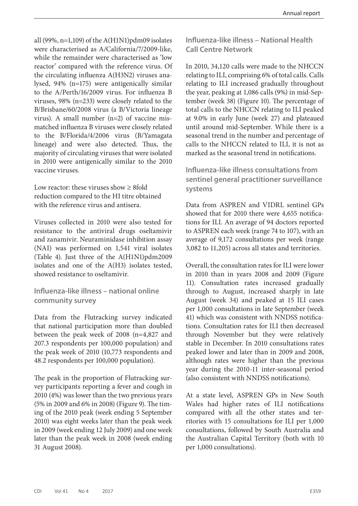all (99%, n=1,109) of the A(H1N1) $pdm09$  isolates were characterised as A/California/7/2009-like, while the remainder were characterised as 'low reactor' compared with the reference virus. Of the circulating influenza A(H3N2) viruses analysed, 94% (n=175) were antigenically similar to the A/Perth/16/2009 virus. For influenza B viruses, 98% (n=233) were closely related to the B/Brisbane/60/2008 virus (a B/Victoria lineage virus). A small number (n=2) of vaccine mismatched influenza B viruses were closely related to the B/Florida/4/2006 virus (B/Yamagata lineage) and were also detected. Thus, the majority of circulating viruses that were isolated in 2010 were antigenically similar to the 2010 vaccine viruses.

Low reactor: these viruses show  $\geq 8$  fold reduction compared to the HI titre obtained with the reference virus and antisera.

Viruses collected in 2010 were also tested for resistance to the antiviral drugs oseltamivir and zanamivir. Neuraminidase inhibition assay (NAI) was performed on 1,541 viral isolates (Table 4). Just three of the A(H1N1)pdm2009 isolates and one of the A(H3) isolates tested, showed resistance to oseltamivir.

# **Influenza-like illness – national online community survey**

Data from the Flutracking survey indicated that national participation more than doubled between the peak week of 2008 (n=4,827 and 207.3 respondents per 100,000 population) and the peak week of 2010 (10,773 respondents and 48.2 respondents per 100,000 population).

The peak in the proportion of Flutracking survey participants reporting a fever and cough in 2010 (4%) was lower than the two previous years (5% in 2009 and 6% in 2008) (Figure 9). The timing of the 2010 peak (week ending 5 September 2010) was eight weeks later than the peak week in 2009 (week ending 12 July 2009) and one week later than the peak week in 2008 (week ending 31 August 2008).

**Influenza-like illness – National Health Call Centre Network**

In 2010, 34,120 calls were made to the NHCCN relating to ILI, comprising 6% of total calls. Calls relating to ILI increased gradually throughout the year, peaking at 1,086 calls (9%) in mid-September (week 38) (Figure 10). The percentage of total calls to the NHCCN relating to ILI peaked at 9.0% in early June (week 27) and plateaued until around mid-September. While there is a seasonal trend in the number and percentage of calls to the NHCCN related to ILI, it is not as marked as the seasonal trend in notifications.

**Influenza-like illness consultations from sentinel general practitioner surveillance systems**

Data from ASPREN and VIDRL sentinel GPs showed that for 2010 there were 4,655 notifications for ILI. An average of 94 doctors reported to ASPREN each week (range 74 to 107), with an average of 9,172 consultations per week (range 3,082 to 11,205) across all states and territories.

Overall, the consultation rates for ILI were lower in 2010 than in years 2008 and 2009 (Figure 11). Consultation rates increased gradually through to August, increased sharply in late August (week 34) and peaked at 15 ILI cases per 1,000 consultations in late September (week 41) which was consistent with NNDSS notifications. Consultation rates for ILI then decreased through November but they were relatively stable in December. In 2010 consultations rates peaked lower and later than in 2009 and 2008, although rates were higher than the previous year during the 2010-11 inter-seasonal period (also consistent with NNDSS notifications).

At a state level, ASPREN GPs in New South Wales had higher rates of ILI notifications compared with all the other states and territories with 15 consultations for ILI per 1,000 consultations, followed by South Australia and the Australian Capital Territory (both with 10 per 1,000 consultations).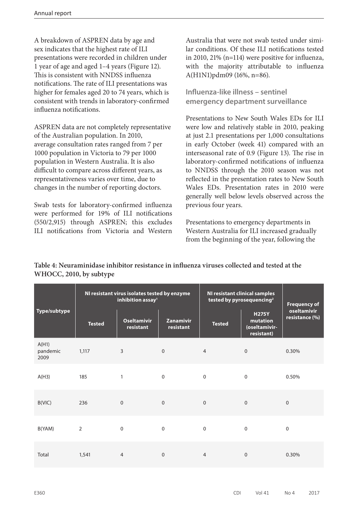A breakdown of ASPREN data by age and sex indicates that the highest rate of ILI presentations were recorded in children under 1 year of age and aged 1–4 years (Figure 12). This is consistent with NNDSS influenza notifications. The rate of ILI presentations was higher for females aged 20 to 74 years, which is consistent with trends in laboratory-confirmed influenza notifications.

ASPREN data are not completely representative of the Australian population. In 2010, average consultation rates ranged from 7 per 1000 population in Victoria to 79 per 1000 population in Western Australia. It is also difficult to compare across different years, as representativeness varies over time, due to changes in the number of reporting doctors.

Swab tests for laboratory-confirmed influenza were performed for 19% of ILI notifications (550/2,915) through ASPREN; this excludes ILI notifications from Victoria and Western

Australia that were not swab tested under similar conditions. Of these ILI notifications tested in 2010, 21% (n=114) were positive for influenza, with the majority attributable to influenza A(H1N1)pdm09 (16%, n=86).

**Influenza-like illness – sentinel emergency department surveillance**

Presentations to New South Wales EDs for ILI were low and relatively stable in 2010, peaking at just 2.1 presentations per 1,000 consultations in early October (week 41) compared with an interseasonal rate of 0.9 (Figure 13). The rise in laboratory-confirmed notifications of influenza to NNDSS through the 2010 season was not reflected in the presentation rates to New South Wales EDs. Presentation rates in 2010 were generally well below levels observed across the previous four years.

Presentations to emergency departments in Western Australia for ILI increased gradually from the beginning of the year, following the

|                           |                | NI resistant virus isolates tested by enzyme<br>inhibition assay <sup>1</sup> |                        | <b>NI resistant clinical samples</b><br>tested by pyrosequencing <sup>2</sup> | <b>Frequency of</b>                                     |                               |
|---------------------------|----------------|-------------------------------------------------------------------------------|------------------------|-------------------------------------------------------------------------------|---------------------------------------------------------|-------------------------------|
| Type/subtype              | <b>Tested</b>  | <b>Oseltamivir</b><br>resistant                                               | Zanamivir<br>resistant | <b>Tested</b>                                                                 | <b>H275Y</b><br>mutation<br>(oseltamivir-<br>resistant) | oseltamivir<br>resistance (%) |
| A(H1)<br>pandemic<br>2009 | 1,117          | 3                                                                             | $\boldsymbol{0}$       | $\overline{4}$                                                                | $\boldsymbol{0}$                                        | 0.30%                         |
| A(H3)                     | 185            | $\mathbf{1}$                                                                  | $\mathbf 0$            | $\mathbf 0$                                                                   | $\mathbf 0$                                             | 0.50%                         |
| B(VIC)                    | 236            | $\boldsymbol{0}$                                                              | $\boldsymbol{0}$       | $\mathbf{0}$                                                                  | $\boldsymbol{0}$                                        | $\mathbf 0$                   |
| B(YAM)                    | $\overline{2}$ | 0                                                                             | $\mathbf 0$            | $\mathbf 0$                                                                   | $\mathbf 0$                                             | $\mathbf 0$                   |
| Total                     | 1,541          | $\overline{4}$                                                                | $\mathbf 0$            | 4                                                                             | $\mathbf 0$                                             | 0.30%                         |

# **Table 4: Neuraminidase inhibitor resistance in influenza viruses collected and tested at the WHOCC, 2010, by subtype**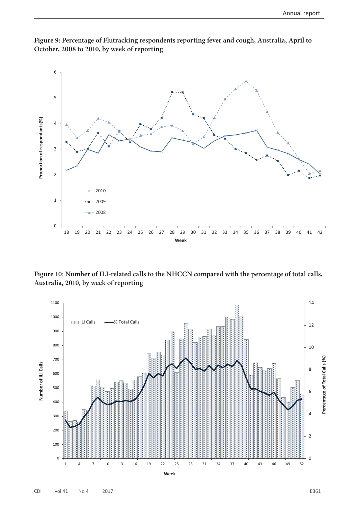

**Figure 9: Percentage of Flutracking respondents reporting fever and cough, Australia, April to October, 2008 to 2010, by week of reporting**

**Figure 10: Number of ILI-related calls to the NHCCN compared with the percentage of total calls, Australia, 2010, by week of reporting**

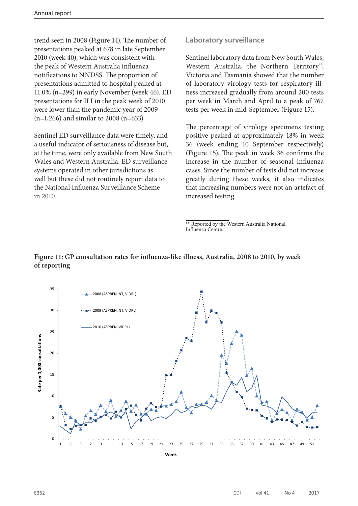trend seen in 2008 (Figure 14). The number of presentations peaked at 678 in late September 2010 (week 40), which was consistent with the peak of Western Australia influenza notifications to NNDSS. The proportion of presentations admitted to hospital peaked at 11.0% (n=299) in early November (week 46). ED presentations for ILI in the peak week of 2010 were lower than the pandemic year of 2009 (n=1,266) and similar to 2008 (n=633).

Sentinel ED surveillance data were timely, and a useful indicator of seriousness of disease but, at the time, were only available from New South Wales and Western Australia. ED surveillance systems operated in other jurisdictions as well but these did not routinely report data to the National Influenza Surveillance Scheme in 2010.

#### **Laboratory surveillance**

Sentinel laboratory data from New South Wales, Western Australia, the Northern Territory\*\*, Victoria and Tasmania showed that the number of laboratory virology tests for respiratory illness increased gradually from around 200 tests per week in March and April to a peak of 767 tests per week in mid-September (Figure 15).

The percentage of virology specimens testing positive peaked at approximately 18% in week 36 (week ending 10 September respectively) (Figure 15). The peak in week 36 confirms the increase in the number of seasonal influenza cases. Since the number of tests did not increase greatly during these weeks, it also indicates that increasing numbers were not an artefact of increased testing.

#### **Figure 11: GP consultation rates for influenza-like illness, Australia, 2008 to 2010, by week of reporting**



<sup>\*\*</sup> Reported by the Western Australia National Influenza Centre.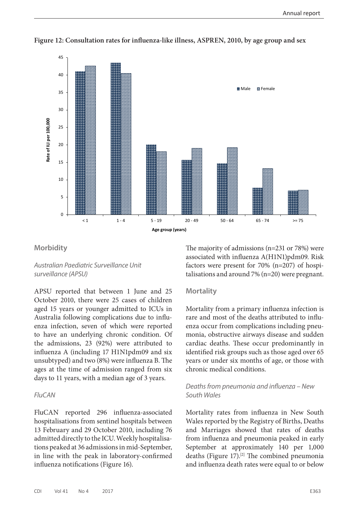

**Figure 12: Consultation rates for influenza-like illness, ASPREN, 2010, by age group and sex**

#### **Morbidity**

*Australian Paediatric Surveillance Unit surveillance (APSU)*

APSU reported that between 1 June and 25 October 2010, there were 25 cases of children aged 15 years or younger admitted to ICUs in Australia following complications due to influenza infection, seven of which were reported to have an underlying chronic condition. Of the admissions, 23 (92%) were attributed to influenza A (including 17 H1N1pdm09 and six unsubtyped) and two (8%) were influenza B. The ages at the time of admission ranged from six days to 11 years, with a median age of 3 years.

#### *FluCAN*

FluCAN reported 296 influenza-associated hospitalisations from sentinel hospitals between 13 February and 29 October 2010, including 76 admitted directly to the ICU. Weekly hospitalisations peaked at 36 admissions in mid-September, in line with the peak in laboratory-confirmed influenza notifications (Figure 16).

The majority of admissions (n=231 or 78%) were associated with influenza A(H1N1)pdm09. Risk factors were present for 70% (n=207) of hospitalisations and around 7% (n=20) were pregnant.

#### **Mortality**

Mortality from a primary influenza infection is rare and most of the deaths attributed to influenza occur from complications including pneumonia, obstructive airways disease and sudden cardiac deaths. These occur predominantly in identified risk groups such as those aged over 65 years or under six months of age, or those with chronic medical conditions.

#### *Deaths from pneumonia and influenza – New South Wales*

Mortality rates from influenza in New South Wales reported by the Registry of Births, Deaths and Marriages showed that rates of deaths from influenza and pneumonia peaked in early September at approximately 140 per 1,000 deaths (Figure 17).<sup>[2]</sup> The combined pneumonia and influenza death rates were equal to or below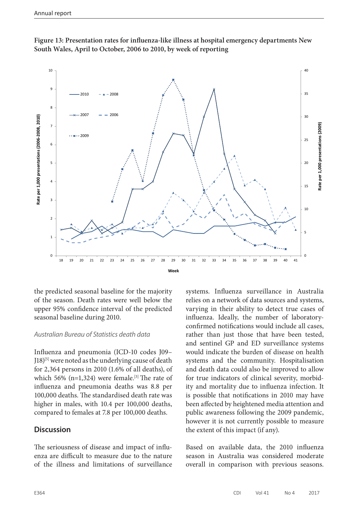



the predicted seasonal baseline for the majority of the season. Death rates were well below the upper 95% confidence interval of the predicted seasonal baseline during 2010.

# *Australian Bureau of Statistics death data*

Influenza and pneumonia (ICD-10 codes J09– J18)<sup>[5]</sup> were noted as the underlying cause of death for 2,364 persons in 2010 (1.6% of all deaths), of which 56% (n=1,324) were female.<sup>[3]</sup> The rate of influenza and pneumonia deaths was 8.8 per 100,000 deaths. The standardised death rate was higher in males, with 10.4 per 100,000 deaths, compared to females at 7.8 per 100,000 deaths.

# **Discussion**

The seriousness of disease and impact of influenza are difficult to measure due to the nature of the illness and limitations of surveillance

systems. Influenza surveillance in Australia relies on a network of data sources and systems, varying in their ability to detect true cases of influenza. Ideally, the number of laboratoryconfirmed notifications would include all cases, rather than just those that have been tested, and sentinel GP and ED surveillance systems would indicate the burden of disease on health systems and the community. Hospitalisation and death data could also be improved to allow for true indicators of clinical severity, morbidity and mortality due to influenza infection. It is possible that notifications in 2010 may have been affected by heightened media attention and public awareness following the 2009 pandemic, however it is not currently possible to measure the extent of this impact (if any).

Based on available data, the 2010 influenza season in Australia was considered moderate overall in comparison with previous seasons.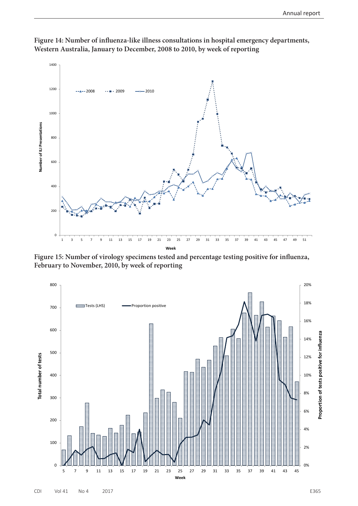

**Figure 14: Number of influenza-like illness consultations in hospital emergency departments, Western Australia, January to December, 2008 to 2010, by week of reporting**

**Figure 15: Number of virology specimens tested and percentage testing positive for influenza, February to November, 2010, by week of reporting**

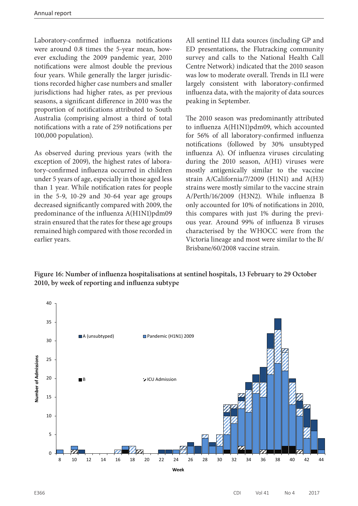Laboratory-confirmed influenza notifications were around 0.8 times the 5-year mean, however excluding the 2009 pandemic year, 2010 notifications were almost double the previous four years. While generally the larger jurisdictions recorded higher case numbers and smaller jurisdictions had higher rates, as per previous seasons, a significant difference in 2010 was the proportion of notifications attributed to South Australia (comprising almost a third of total notifications with a rate of 259 notifications per 100,000 population).

As observed during previous years (with the exception of 2009), the highest rates of laboratory-confirmed influenza occurred in children under 5 years of age, especially in those aged less than 1 year. While notification rates for people in the 5-9, 10-29 and 30-64 year age groups decreased significantly compared with 2009, the predominance of the influenza A(H1N1)pdm09 strain ensured that the rates for these age groups remained high compared with those recorded in earlier years.

All sentinel ILI data sources (including GP and ED presentations, the Flutracking community survey and calls to the National Health Call Centre Network) indicated that the 2010 season was low to moderate overall. Trends in ILI were largely consistent with laboratory-confirmed influenza data, with the majority of data sources peaking in September.

The 2010 season was predominantly attributed to influenza A(H1N1)pdm09, which accounted for 56% of all laboratory-confirmed influenza notifications (followed by 30% unsubtyped influenza A). Of influenza viruses circulating during the 2010 season, A(H1) viruses were mostly antigenically similar to the vaccine strain A/California/7/2009 (H1N1) and A(H3) strains were mostly similar to the vaccine strain A/Perth/16/2009 (H3N2). While influenza B only accounted for 10% of notifications in 2010, this compares with just 1% during the previous year. Around 99% of influenza B viruses characterised by the WHOCC were from the Victoria lineage and most were similar to the B/ Brisbane/60/2008 vaccine strain.

**Figure 16: Number of influenza hospitalisations at sentinel hospitals, 13 February to 29 October 2010, by week of reporting and influenza subtype**

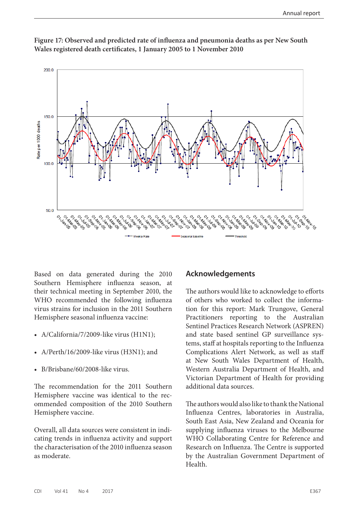

**Figure 17: Observed and predicted rate of influenza and pneumonia deaths as per New South Wales registered death certificates, 1 January 2005 to 1 November 2010**

Based on data generated during the 2010 Southern Hemisphere influenza season, at their technical meeting in September 2010, the WHO recommended the following influenza virus strains for inclusion in the 2011 Southern Hemisphere seasonal influenza vaccine:

- A/California/7/2009-like virus (H1N1);
- A/Perth/16/2009-like virus (H3N1); and
- B/Brisbane/60/2008-like virus.

The recommendation for the 2011 Southern Hemisphere vaccine was identical to the recommended composition of the 2010 Southern Hemisphere vaccine.

Overall, all data sources were consistent in indicating trends in influenza activity and support the characterisation of the 2010 influenza season as moderate.

# **Acknowledgements**

The authors would like to acknowledge to efforts of others who worked to collect the information for this report: Mark Trungove, General Practitioners reporting to the Australian Sentinel Practices Research Network (ASPREN) and state based sentinel GP surveillance systems, staff at hospitals reporting to the Influenza Complications Alert Network, as well as staff at New South Wales Department of Health, Western Australia Department of Health, and Victorian Department of Health for providing additional data sources.

The authors would also like to thank the National Influenza Centres, laboratories in Australia, South East Asia, New Zealand and Oceania for supplying influenza viruses to the Melbourne WHO Collaborating Centre for Reference and Research on Influenza. The Centre is supported by the Australian Government Department of Health.